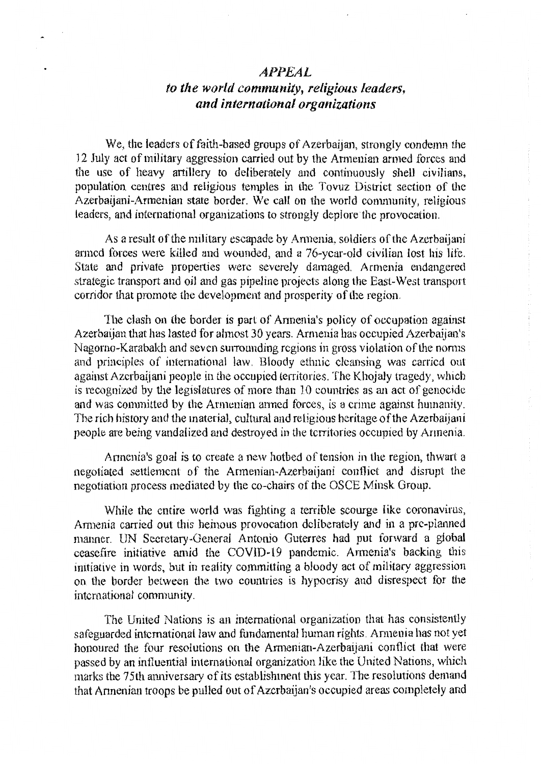## *APP.£AL*

## to the world community, religious leaders, and *international* organizations

We, the leaders of faith-based groups of Azerbaijan, strongly condemn the 12 July act of military aggression carried out by the Armenian armed forces and the use of heavy artillery to deliberately and continuously shell civilians, population centres and religious temples in the Tovuz District section of the Azerbaijani-Armenian state border. We call on the world community, religious leaders, and international organizations to strongly deplore the provocation.

As a result of the military escapade by Armenia, soldiers of the Azerbaijani armed forces were killed and wounded, and a 76-ycar-old civilian lost his life. State and private properties were severely damaged. Armenia endangered strategic transport and oi1 and gas pipeline projects along the East-West transport corridor that promote the development and prosperity of the region.

The clash on the border is part of Armenia's policy of occupation against Azerbaijan that has lasted for almost 30 years. Armenia has occupied Azerbaijan's Nagorno-Karabakh and seven surrounding regions in gross violation of the norms and principles of international law. Bloody ethnic cleansing was carried out against Azcrbaijani people in the occupied territories. The Khojaly tragedy, which is recognized by the legislatures of more than 10 countries as an act of genocide and was committed by the Armenian anned forces, is a crime against humanity. The rich history and the material, cultural and religious heritage of the Azerbaijani people are being vandalized and destroyed in the territories occupied by Armenia.

Armenia's goal is to create a new hotbed of tension in the region, thwart a negotiated settlement of the Annenian~Azerbaijani conflict and disrupt the negotiation process mediated by the co-chairs of the OSCE Minsk Group.

While the entire world was fighting a terrible scourge like coronavirus, Armenia carried out this heinous provocation deliberately and in a pre-planned manner. UN Secretary-Genera) Antonio Guterres had put forward a global ceasefire initiative amid the COVID-19 pandemic. Armenia's backing this initiative in words, but in reality committing a bloody act of military aggression on the border between the two countries is hypocrisy and disrespect for the international community.

The United Nations is an international organization that has consistently safeguarded international law and fundamental human rights. Armenia has not yet honoured the four resolutions on the Armenian-Azerbaijani conflict that were passed by an influential international organization like the United Nations, which marks the 75th anniversary of its establishment this year. The resolutions demand that Annenian troops be pulled out of Azcrbaijan's occupied areas completely and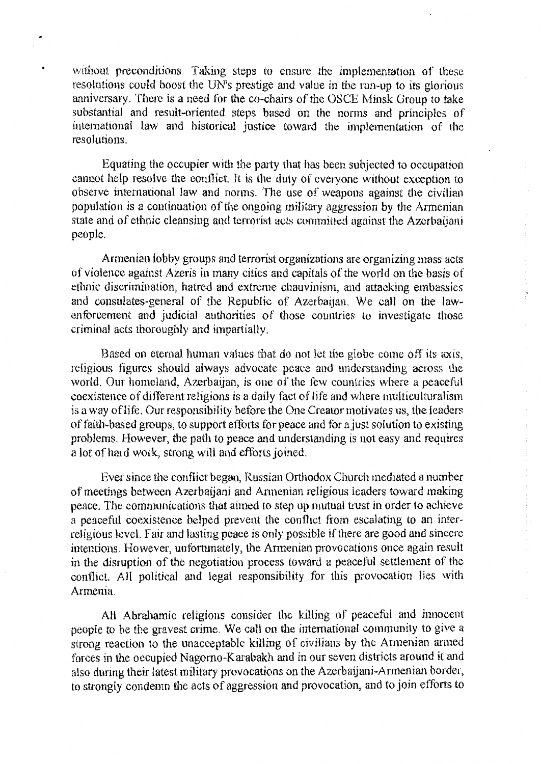without preconditions. Taking steps to ensure the implementation of these resolutions could boost the UN's prestige and value in the run-up to its glorious anniversary. There is a need for the co-chairs of the OSCE Minsk Group to take substantial and result-oriented steps based on the norms and principles of international law and historical justice toward the implementation of the resolutions.

Equating the occupier with the patty that has been subjected to occupation cannot help resolve the conflict. lt is the duty of everyone without exception to observe international law and norms. The use of weapons against the civilian population is a continuation of the ongoing military aggression by the Armenian state and of ethnic cleansing and terrorist acts committed against the Azerbaijani people.

Armenian lobby groups and terrorist organizations are organizing mass acts of violence against Azeris in many cities and capitals of the world on the basis of ethnic discrimination, hatred and extreme chauvinism, and attacking embassies and consulates-general of the Republic of Azerbaijan. We call on the Jaw~ enforcement and judicial authorities of those countries to investigate those criminal acts thoroughly and impartially.

Based on eternal human values that do not let the globe come off its axis, religious figures should always advocate peace and understanding across the world. Our homeland, Azerbaijan, is one of the few countries where a peaceful coexistence of different religions is a daily fact of life and where multiculturalism is a way oflife. Our responsibility before the One Creator motivates us, the leaders of faith-based groups, to support efforts for peace and for a just solution to existing problems. However, the path to peace and understanding is not easy and requires a lot of hard work, strong will and efforts joined.

Ever since the conflict began, Russian Orthodox Church mediated a number of meetings between Azerbaijani and Annenian religious leaders toward making peace. The communications that aimed to step up mutual trust in order to achieve a peaceful coexistence helped prevent the conflict from escalating to an interreligious level. Fair and lasting peace is only possible if there are good and sincere intentions. However, unfortunately, the Armenian provocations once again result in the disruption of the negotiation process toward a peaceful settlement of the conflict. All political and legal responsibility for this provocation lies with Armenia.

All Abrahamic religions consider the killing of peaceful and innocent people to be the gravest crime. We call on the international community to give a strong reaction to the unacceptable killing of civilians by the Annenian armed forces in the occupied Nagomo-Karahakh and in our seven districts around it and also during their latest military provocations on the Azerbaijani-Armenian border, to strongly condemn the acts of aggression and provocation, and to join efforts to